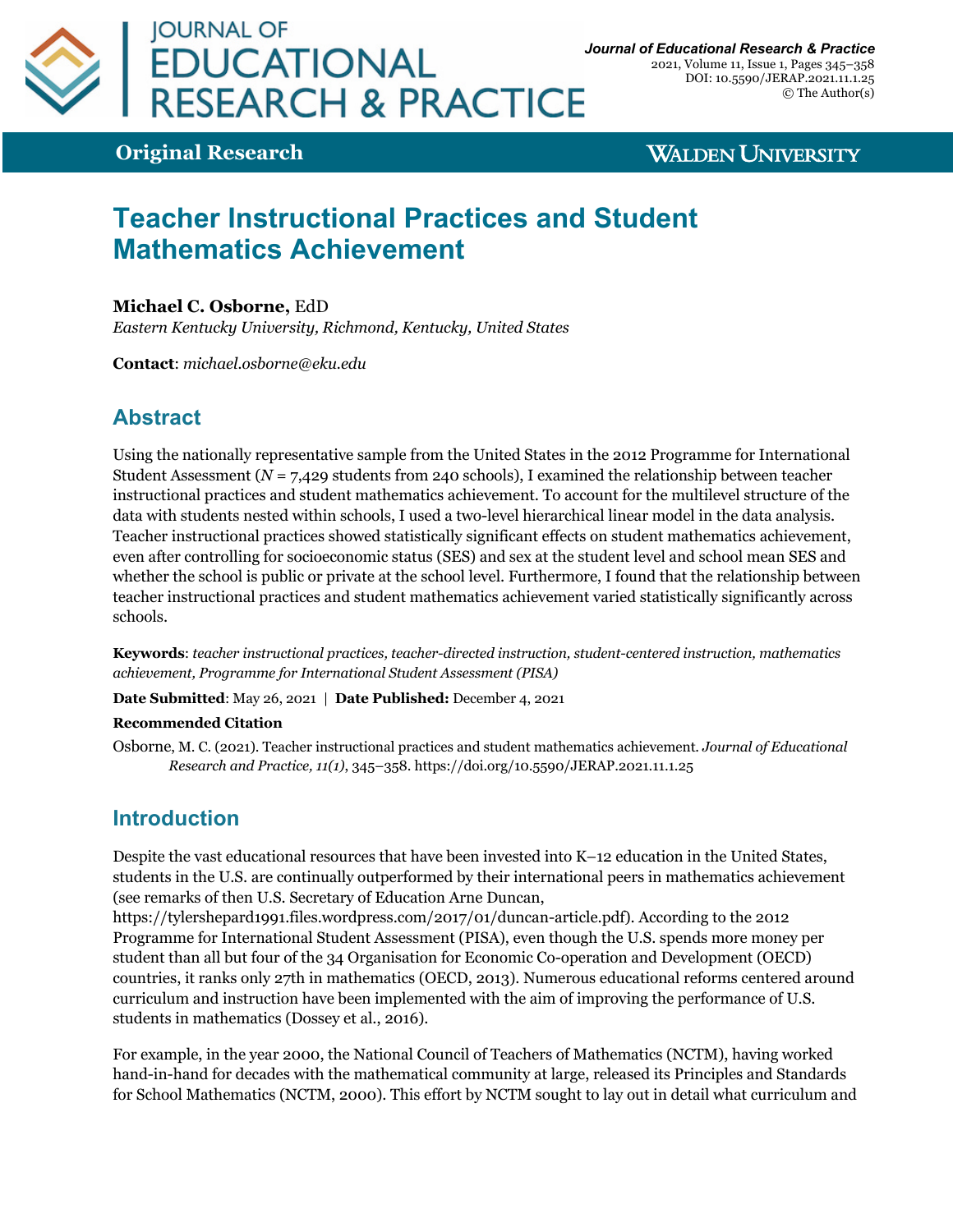

2021, Volume 11, Issue 1, Pages 345–358 DOI: 10.5590/JERAP.2021.11.1.25 © The Author(s)

**Original Research**

**WALDEN UNIVERSITY** 

# **Teacher Instructional Practices and Student Mathematics Achievement**

#### **Michael C. Osborne,** EdD

*Eastern Kentucky University, Richmond, Kentucky, United States*

**Contact**: *michael.osborne@eku.edu*

# **Abstract**

Using the nationally representative sample from the United States in the 2012 Programme for International Student Assessment (*N* = 7,429 students from 240 schools), I examined the relationship between teacher instructional practices and student mathematics achievement. To account for the multilevel structure of the data with students nested within schools, I used a two-level hierarchical linear model in the data analysis. Teacher instructional practices showed statistically significant effects on student mathematics achievement, even after controlling for socioeconomic status (SES) and sex at the student level and school mean SES and whether the school is public or private at the school level. Furthermore, I found that the relationship between teacher instructional practices and student mathematics achievement varied statistically significantly across schools.

**Keywords**: *teacher instructional practices, teacher-directed instruction, student-centered instruction, mathematics achievement, Programme for International Student Assessment (PISA)*

**Date Submitted**: May 26, 2021 | **Date Published:** December 4, 2021

#### **Recommended Citation**

Osborne, M. C. (2021). Teacher instructional practices and student mathematics achievement. *Journal of Educational Research and Practice, 11(1)*, 345–358. https://doi.org/10.5590/JERAP.2021.11.1.25

# **Introduction**

Despite the vast educational resources that have been invested into K–12 education in the United States, students in the U.S. are continually outperformed by their international peers in mathematics achievement (see remarks of then U.S. Secretary of Education Arne Duncan,

https://tylershepard1991.files.wordpress.com/2017/01/duncan-article.pdf). According to the 2012 Programme for International Student Assessment (PISA), even though the U.S. spends more money per student than all but four of the 34 Organisation for Economic Co-operation and Development (OECD) countries, it ranks only 27th in mathematics (OECD, 2013). Numerous educational reforms centered around curriculum and instruction have been implemented with the aim of improving the performance of U.S. students in mathematics (Dossey et al., 2016).

For example, in the year 2000, the National Council of Teachers of Mathematics (NCTM), having worked hand-in-hand for decades with the mathematical community at large, released its Principles and Standards for School Mathematics (NCTM, 2000). This effort by NCTM sought to lay out in detail what curriculum and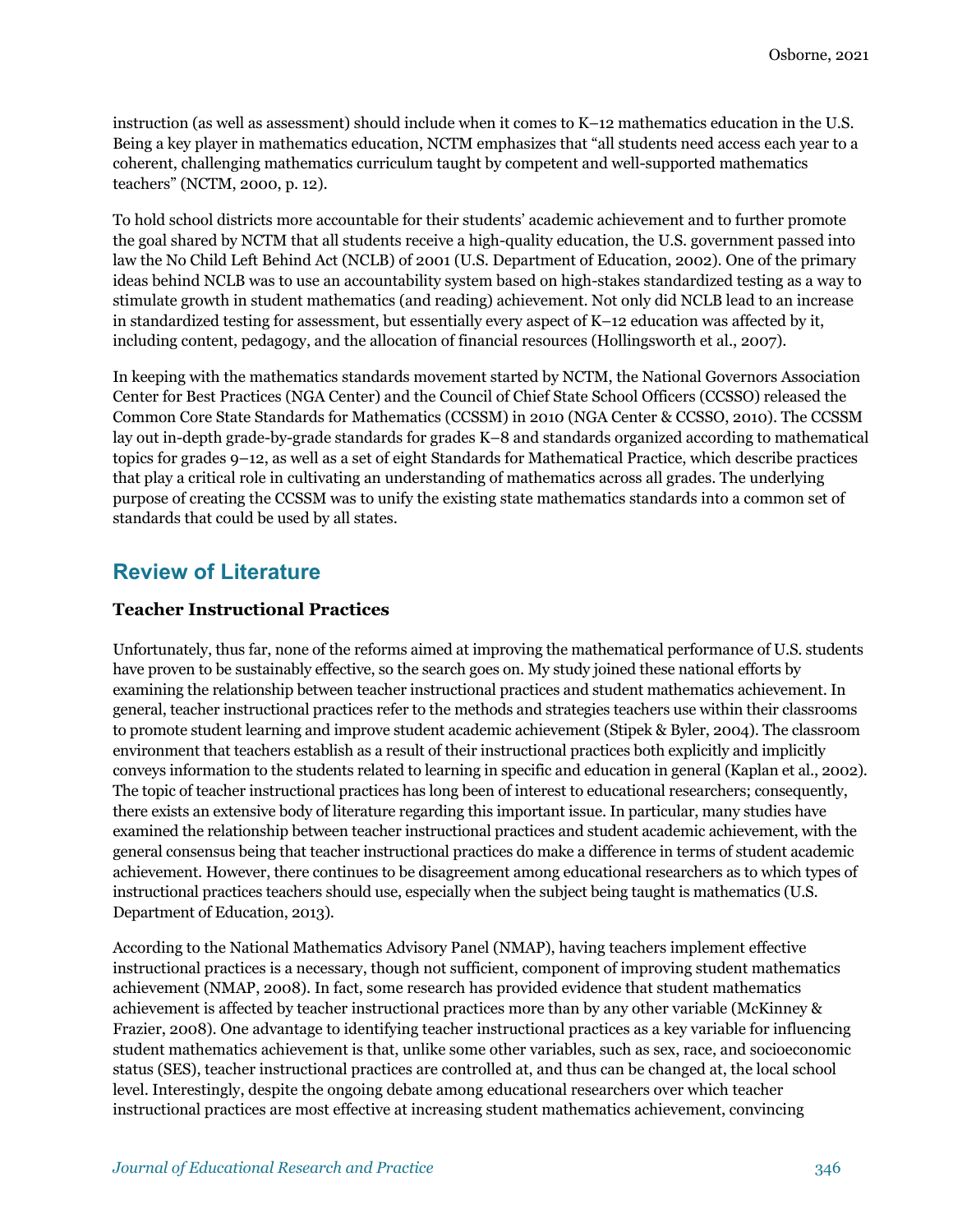instruction (as well as assessment) should include when it comes to K–12 mathematics education in the U.S. Being a key player in mathematics education, NCTM emphasizes that "all students need access each year to a coherent, challenging mathematics curriculum taught by competent and well-supported mathematics teachers" (NCTM, 2000, p. 12).

To hold school districts more accountable for their students' academic achievement and to further promote the goal shared by NCTM that all students receive a high-quality education, the U.S. government passed into law the No Child Left Behind Act (NCLB) of 2001 (U.S. Department of Education, 2002). One of the primary ideas behind NCLB was to use an accountability system based on high-stakes standardized testing as a way to stimulate growth in student mathematics (and reading) achievement. Not only did NCLB lead to an increase in standardized testing for assessment, but essentially every aspect of K–12 education was affected by it, including content, pedagogy, and the allocation of financial resources (Hollingsworth et al., 2007).

In keeping with the mathematics standards movement started by NCTM, the National Governors Association Center for Best Practices (NGA Center) and the Council of Chief State School Officers (CCSSO) released the Common Core State Standards for Mathematics (CCSSM) in 2010 (NGA Center & CCSSO, 2010). The CCSSM lay out in-depth grade-by-grade standards for grades K–8 and standards organized according to mathematical topics for grades 9–12, as well as a set of eight Standards for Mathematical Practice, which describe practices that play a critical role in cultivating an understanding of mathematics across all grades. The underlying purpose of creating the CCSSM was to unify the existing state mathematics standards into a common set of standards that could be used by all states.

# **Review of Literature**

### **Teacher Instructional Practices**

Unfortunately, thus far, none of the reforms aimed at improving the mathematical performance of U.S. students have proven to be sustainably effective, so the search goes on. My study joined these national efforts by examining the relationship between teacher instructional practices and student mathematics achievement. In general, teacher instructional practices refer to the methods and strategies teachers use within their classrooms to promote student learning and improve student academic achievement (Stipek & Byler, 2004). The classroom environment that teachers establish as a result of their instructional practices both explicitly and implicitly conveys information to the students related to learning in specific and education in general (Kaplan et al., 2002). The topic of teacher instructional practices has long been of interest to educational researchers; consequently, there exists an extensive body of literature regarding this important issue. In particular, many studies have examined the relationship between teacher instructional practices and student academic achievement, with the general consensus being that teacher instructional practices do make a difference in terms of student academic achievement. However, there continues to be disagreement among educational researchers as to which types of instructional practices teachers should use, especially when the subject being taught is mathematics (U.S. Department of Education, 2013).

According to the National Mathematics Advisory Panel (NMAP), having teachers implement effective instructional practices is a necessary, though not sufficient, component of improving student mathematics achievement (NMAP, 2008). In fact, some research has provided evidence that student mathematics achievement is affected by teacher instructional practices more than by any other variable (McKinney & Frazier, 2008). One advantage to identifying teacher instructional practices as a key variable for influencing student mathematics achievement is that, unlike some other variables, such as sex, race, and socioeconomic status (SES), teacher instructional practices are controlled at, and thus can be changed at, the local school level. Interestingly, despite the ongoing debate among educational researchers over which teacher instructional practices are most effective at increasing student mathematics achievement, convincing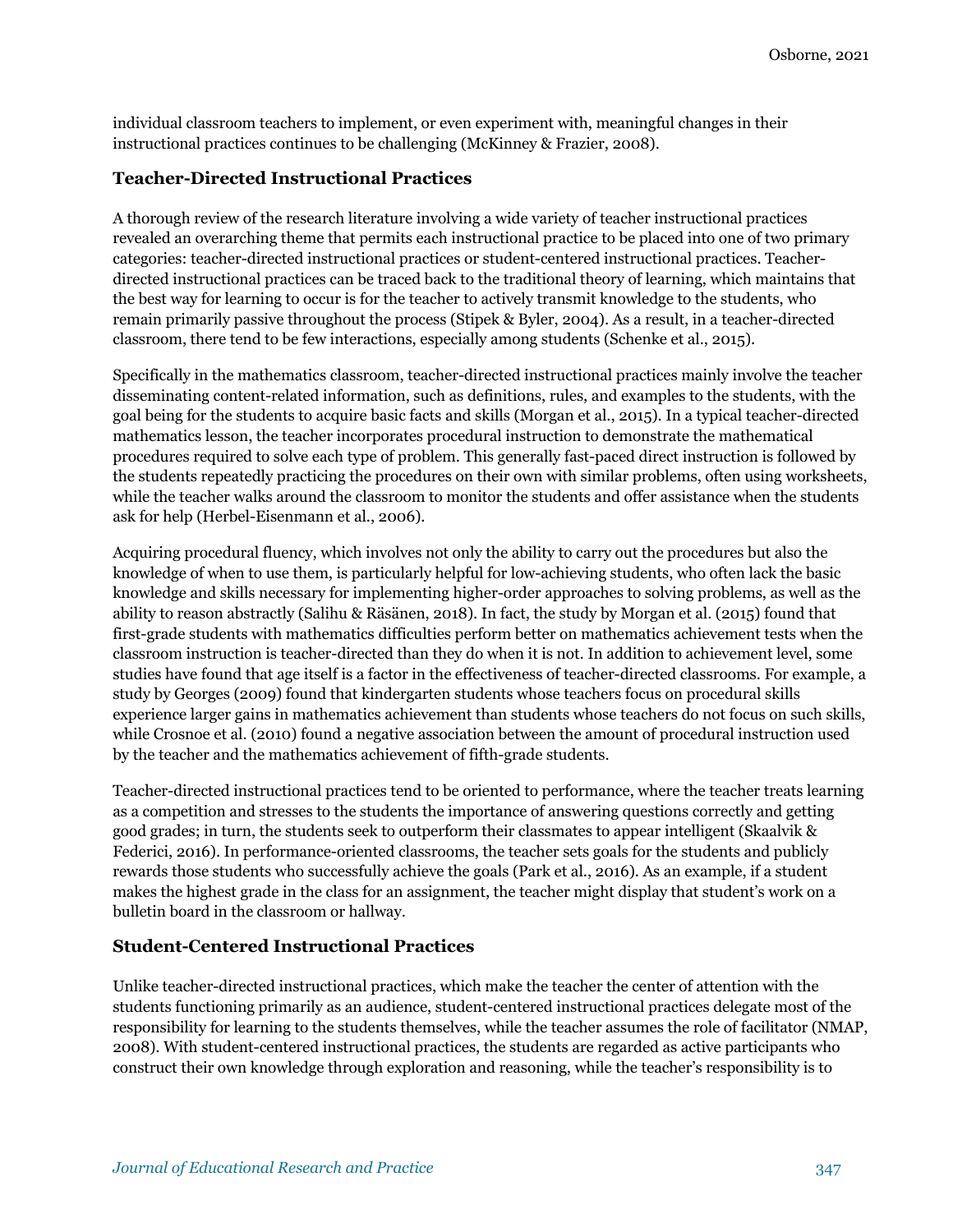individual classroom teachers to implement, or even experiment with, meaningful changes in their instructional practices continues to be challenging (McKinney & Frazier, 2008).

#### **Teacher-Directed Instructional Practices**

A thorough review of the research literature involving a wide variety of teacher instructional practices revealed an overarching theme that permits each instructional practice to be placed into one of two primary categories: teacher-directed instructional practices or student-centered instructional practices. Teacherdirected instructional practices can be traced back to the traditional theory of learning, which maintains that the best way for learning to occur is for the teacher to actively transmit knowledge to the students, who remain primarily passive throughout the process (Stipek & Byler, 2004). As a result, in a teacher-directed classroom, there tend to be few interactions, especially among students (Schenke et al., 2015).

Specifically in the mathematics classroom, teacher-directed instructional practices mainly involve the teacher disseminating content-related information, such as definitions, rules, and examples to the students, with the goal being for the students to acquire basic facts and skills (Morgan et al., 2015). In a typical teacher-directed mathematics lesson, the teacher incorporates procedural instruction to demonstrate the mathematical procedures required to solve each type of problem. This generally fast-paced direct instruction is followed by the students repeatedly practicing the procedures on their own with similar problems, often using worksheets, while the teacher walks around the classroom to monitor the students and offer assistance when the students ask for help (Herbel-Eisenmann et al., 2006).

Acquiring procedural fluency, which involves not only the ability to carry out the procedures but also the knowledge of when to use them, is particularly helpful for low-achieving students, who often lack the basic knowledge and skills necessary for implementing higher-order approaches to solving problems, as well as the ability to reason abstractly (Salihu & Räsänen, 2018). In fact, the study by Morgan et al. (2015) found that first-grade students with mathematics difficulties perform better on mathematics achievement tests when the classroom instruction is teacher-directed than they do when it is not. In addition to achievement level, some studies have found that age itself is a factor in the effectiveness of teacher-directed classrooms. For example, a study by Georges (2009) found that kindergarten students whose teachers focus on procedural skills experience larger gains in mathematics achievement than students whose teachers do not focus on such skills, while Crosnoe et al. (2010) found a negative association between the amount of procedural instruction used by the teacher and the mathematics achievement of fifth-grade students.

Teacher-directed instructional practices tend to be oriented to performance, where the teacher treats learning as a competition and stresses to the students the importance of answering questions correctly and getting good grades; in turn, the students seek to outperform their classmates to appear intelligent (Skaalvik & Federici, 2016). In performance-oriented classrooms, the teacher sets goals for the students and publicly rewards those students who successfully achieve the goals (Park et al., 2016). As an example, if a student makes the highest grade in the class for an assignment, the teacher might display that student's work on a bulletin board in the classroom or hallway.

#### **Student-Centered Instructional Practices**

Unlike teacher-directed instructional practices, which make the teacher the center of attention with the students functioning primarily as an audience, student-centered instructional practices delegate most of the responsibility for learning to the students themselves, while the teacher assumes the role of facilitator (NMAP, 2008). With student-centered instructional practices, the students are regarded as active participants who construct their own knowledge through exploration and reasoning, while the teacher's responsibility is to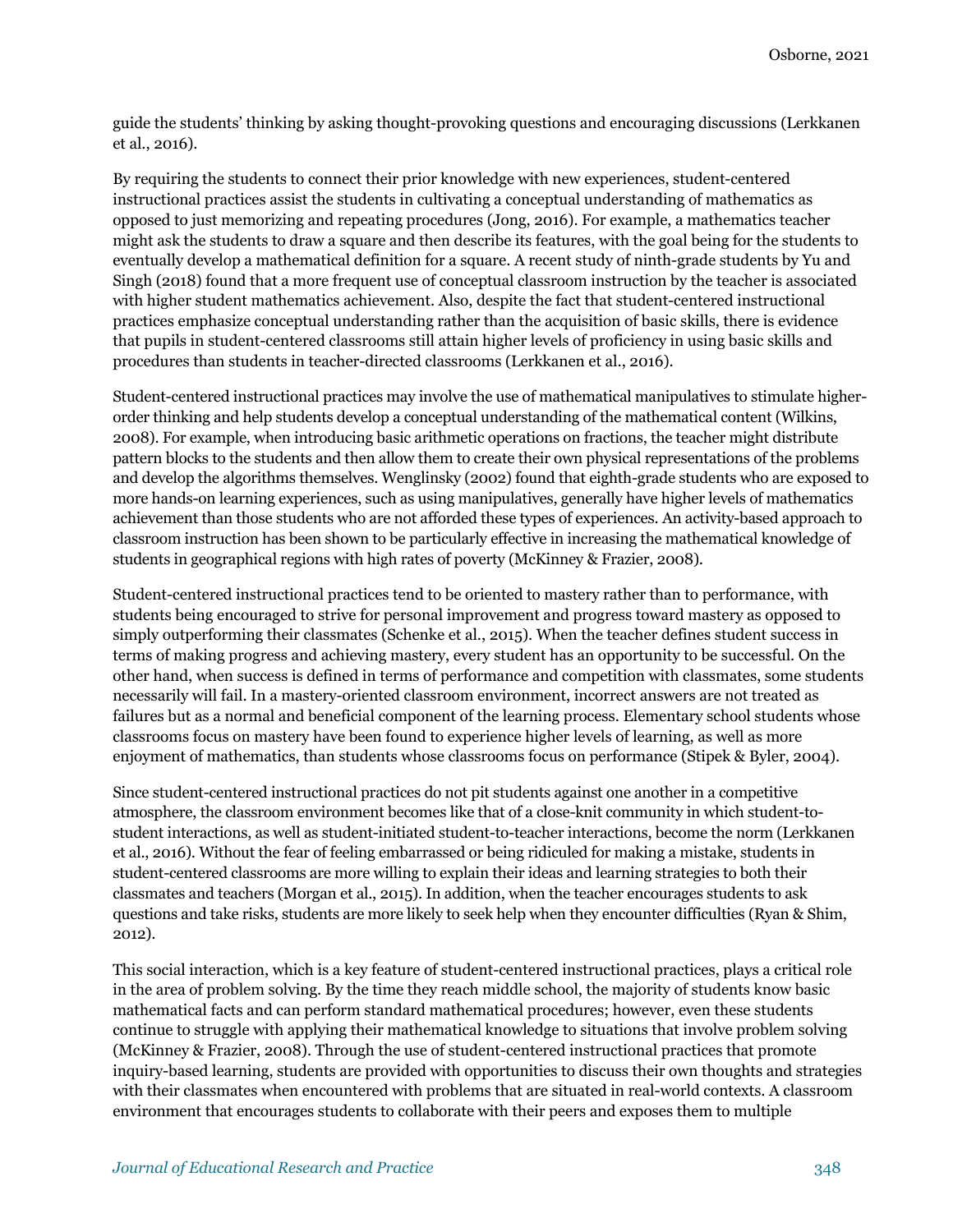guide the students' thinking by asking thought-provoking questions and encouraging discussions (Lerkkanen et al., 2016).

By requiring the students to connect their prior knowledge with new experiences, student-centered instructional practices assist the students in cultivating a conceptual understanding of mathematics as opposed to just memorizing and repeating procedures (Jong, 2016). For example, a mathematics teacher might ask the students to draw a square and then describe its features, with the goal being for the students to eventually develop a mathematical definition for a square. A recent study of ninth-grade students by Yu and Singh (2018) found that a more frequent use of conceptual classroom instruction by the teacher is associated with higher student mathematics achievement. Also, despite the fact that student-centered instructional practices emphasize conceptual understanding rather than the acquisition of basic skills, there is evidence that pupils in student-centered classrooms still attain higher levels of proficiency in using basic skills and procedures than students in teacher-directed classrooms (Lerkkanen et al., 2016).

Student-centered instructional practices may involve the use of mathematical manipulatives to stimulate higherorder thinking and help students develop a conceptual understanding of the mathematical content (Wilkins, 2008). For example, when introducing basic arithmetic operations on fractions, the teacher might distribute pattern blocks to the students and then allow them to create their own physical representations of the problems and develop the algorithms themselves. Wenglinsky (2002) found that eighth-grade students who are exposed to more hands-on learning experiences, such as using manipulatives, generally have higher levels of mathematics achievement than those students who are not afforded these types of experiences. An activity-based approach to classroom instruction has been shown to be particularly effective in increasing the mathematical knowledge of students in geographical regions with high rates of poverty (McKinney & Frazier, 2008).

Student-centered instructional practices tend to be oriented to mastery rather than to performance, with students being encouraged to strive for personal improvement and progress toward mastery as opposed to simply outperforming their classmates (Schenke et al., 2015). When the teacher defines student success in terms of making progress and achieving mastery, every student has an opportunity to be successful. On the other hand, when success is defined in terms of performance and competition with classmates, some students necessarily will fail. In a mastery-oriented classroom environment, incorrect answers are not treated as failures but as a normal and beneficial component of the learning process. Elementary school students whose classrooms focus on mastery have been found to experience higher levels of learning, as well as more enjoyment of mathematics, than students whose classrooms focus on performance (Stipek & Byler, 2004).

Since student-centered instructional practices do not pit students against one another in a competitive atmosphere, the classroom environment becomes like that of a close-knit community in which student-tostudent interactions, as well as student-initiated student-to-teacher interactions, become the norm (Lerkkanen et al., 2016). Without the fear of feeling embarrassed or being ridiculed for making a mistake, students in student-centered classrooms are more willing to explain their ideas and learning strategies to both their classmates and teachers (Morgan et al., 2015). In addition, when the teacher encourages students to ask questions and take risks, students are more likely to seek help when they encounter difficulties (Ryan & Shim, 2012).

This social interaction, which is a key feature of student-centered instructional practices, plays a critical role in the area of problem solving. By the time they reach middle school, the majority of students know basic mathematical facts and can perform standard mathematical procedures; however, even these students continue to struggle with applying their mathematical knowledge to situations that involve problem solving (McKinney & Frazier, 2008). Through the use of student-centered instructional practices that promote inquiry-based learning, students are provided with opportunities to discuss their own thoughts and strategies with their classmates when encountered with problems that are situated in real-world contexts. A classroom environment that encourages students to collaborate with their peers and exposes them to multiple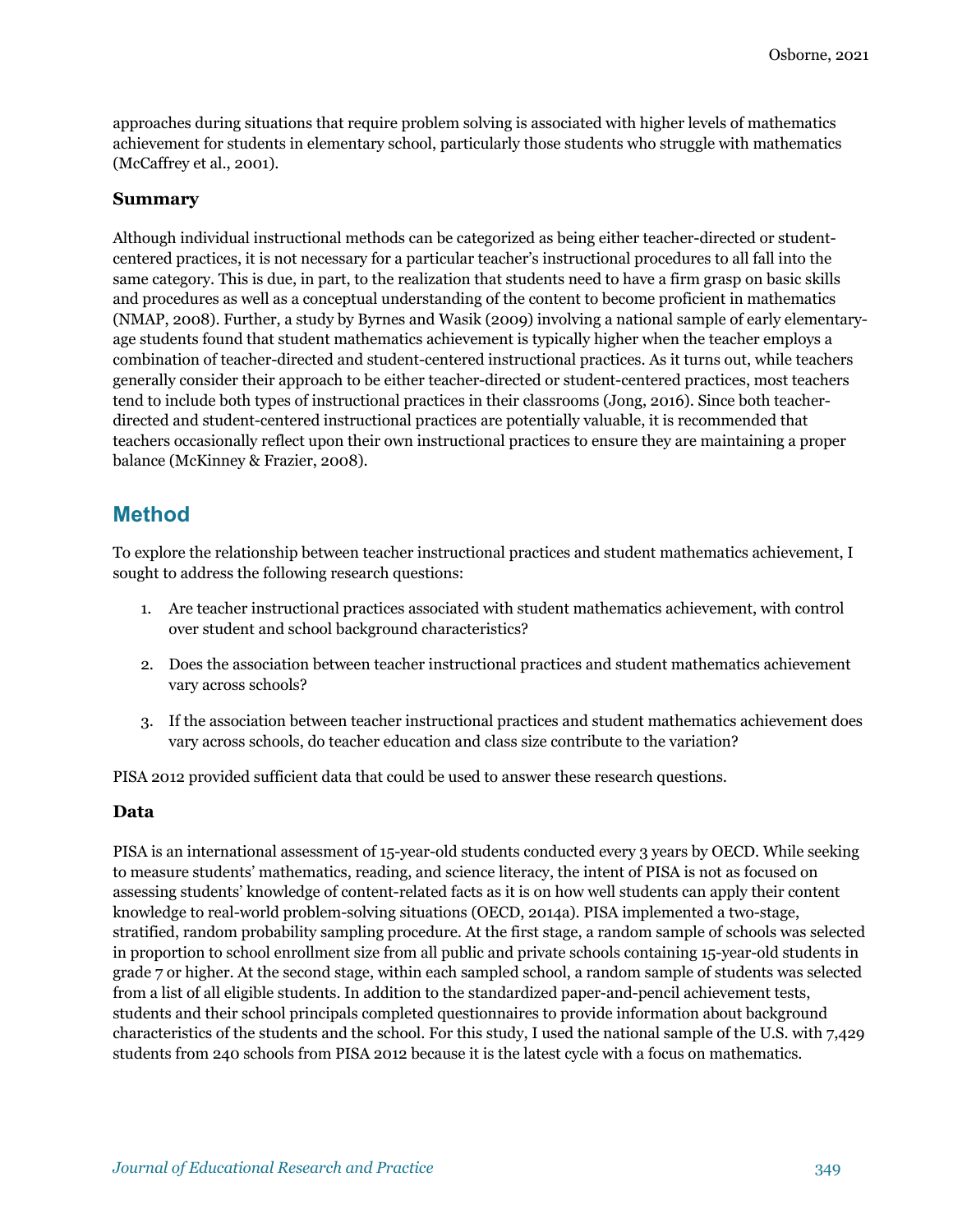approaches during situations that require problem solving is associated with higher levels of mathematics achievement for students in elementary school, particularly those students who struggle with mathematics (McCaffrey et al., 2001).

#### **Summary**

Although individual instructional methods can be categorized as being either teacher-directed or studentcentered practices, it is not necessary for a particular teacher's instructional procedures to all fall into the same category. This is due, in part, to the realization that students need to have a firm grasp on basic skills and procedures as well as a conceptual understanding of the content to become proficient in mathematics (NMAP, 2008). Further, a study by Byrnes and Wasik (2009) involving a national sample of early elementaryage students found that student mathematics achievement is typically higher when the teacher employs a combination of teacher-directed and student-centered instructional practices. As it turns out, while teachers generally consider their approach to be either teacher-directed or student-centered practices, most teachers tend to include both types of instructional practices in their classrooms (Jong, 2016). Since both teacherdirected and student-centered instructional practices are potentially valuable, it is recommended that teachers occasionally reflect upon their own instructional practices to ensure they are maintaining a proper balance (McKinney & Frazier, 2008).

# **Method**

To explore the relationship between teacher instructional practices and student mathematics achievement, I sought to address the following research questions:

- 1. Are teacher instructional practices associated with student mathematics achievement, with control over student and school background characteristics?
- 2. Does the association between teacher instructional practices and student mathematics achievement vary across schools?
- 3. If the association between teacher instructional practices and student mathematics achievement does vary across schools, do teacher education and class size contribute to the variation?

PISA 2012 provided sufficient data that could be used to answer these research questions.

#### **Data**

PISA is an international assessment of 15-year-old students conducted every 3 years by OECD. While seeking to measure students' mathematics, reading, and science literacy, the intent of PISA is not as focused on assessing students' knowledge of content-related facts as it is on how well students can apply their content knowledge to real-world problem-solving situations (OECD, 2014a). PISA implemented a two-stage, stratified, random probability sampling procedure. At the first stage, a random sample of schools was selected in proportion to school enrollment size from all public and private schools containing 15-year-old students in grade 7 or higher. At the second stage, within each sampled school, a random sample of students was selected from a list of all eligible students. In addition to the standardized paper-and-pencil achievement tests, students and their school principals completed questionnaires to provide information about background characteristics of the students and the school. For this study, I used the national sample of the U.S. with 7,429 students from 240 schools from PISA 2012 because it is the latest cycle with a focus on mathematics.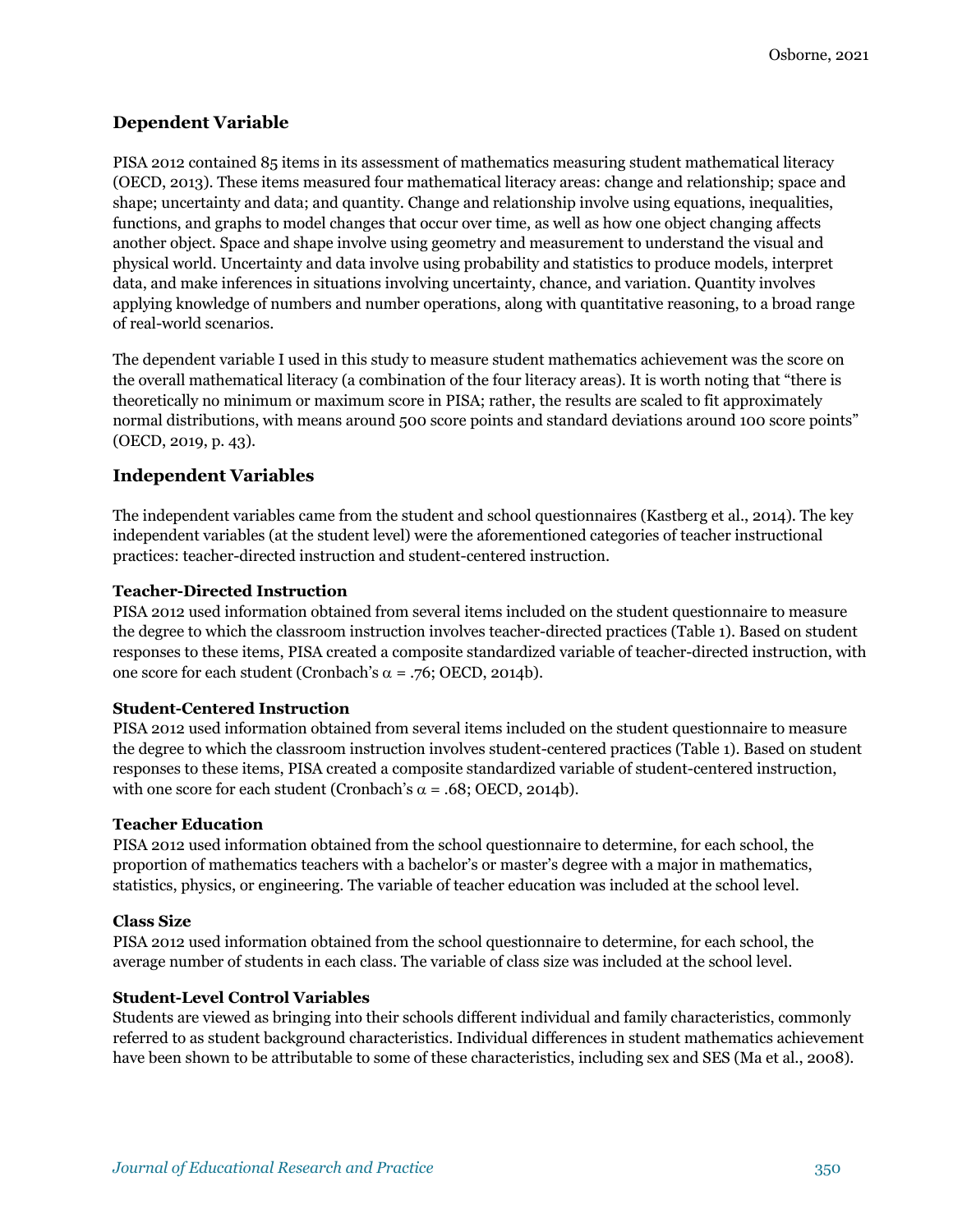### **Dependent Variable**

PISA 2012 contained 85 items in its assessment of mathematics measuring student mathematical literacy (OECD, 2013). These items measured four mathematical literacy areas: change and relationship; space and shape; uncertainty and data; and quantity. Change and relationship involve using equations, inequalities, functions, and graphs to model changes that occur over time, as well as how one object changing affects another object. Space and shape involve using geometry and measurement to understand the visual and physical world. Uncertainty and data involve using probability and statistics to produce models, interpret data, and make inferences in situations involving uncertainty, chance, and variation. Quantity involves applying knowledge of numbers and number operations, along with quantitative reasoning, to a broad range of real-world scenarios.

The dependent variable I used in this study to measure student mathematics achievement was the score on the overall mathematical literacy (a combination of the four literacy areas). It is worth noting that "there is theoretically no minimum or maximum score in PISA; rather, the results are scaled to fit approximately normal distributions, with means around 500 score points and standard deviations around 100 score points" (OECD, 2019, p. 43).

### **Independent Variables**

The independent variables came from the student and school questionnaires (Kastberg et al., 2014). The key independent variables (at the student level) were the aforementioned categories of teacher instructional practices: teacher-directed instruction and student-centered instruction.

#### **Teacher-Directed Instruction**

PISA 2012 used information obtained from several items included on the student questionnaire to measure the degree to which the classroom instruction involves teacher-directed practices (Table 1). Based on student responses to these items, PISA created a composite standardized variable of teacher-directed instruction, with one score for each student (Cronbach's  $\alpha$  = .76; OECD, 2014b).

#### **Student-Centered Instruction**

PISA 2012 used information obtained from several items included on the student questionnaire to measure the degree to which the classroom instruction involves student-centered practices (Table 1). Based on student responses to these items, PISA created a composite standardized variable of student-centered instruction, with one score for each student (Cronbach's  $\alpha$  = .68; OECD, 2014b).

#### **Teacher Education**

PISA 2012 used information obtained from the school questionnaire to determine, for each school, the proportion of mathematics teachers with a bachelor's or master's degree with a major in mathematics, statistics, physics, or engineering. The variable of teacher education was included at the school level.

#### **Class Size**

PISA 2012 used information obtained from the school questionnaire to determine, for each school, the average number of students in each class. The variable of class size was included at the school level.

#### **Student-Level Control Variables**

Students are viewed as bringing into their schools different individual and family characteristics, commonly referred to as student background characteristics. Individual differences in student mathematics achievement have been shown to be attributable to some of these characteristics, including sex and SES (Ma et al., 2008).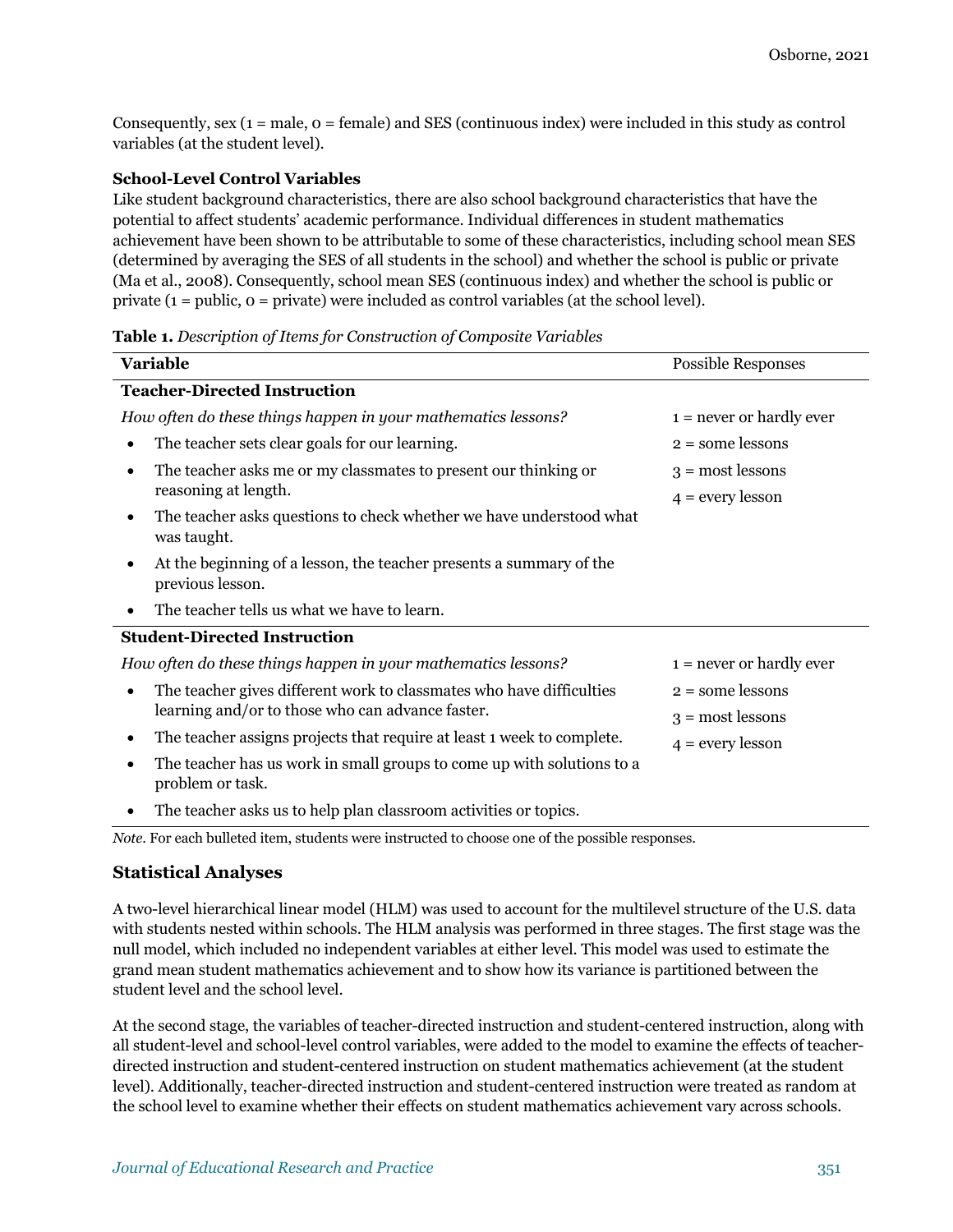Consequently, sex  $(1 = male, o = female)$  and SES (continuous index) were included in this study as control variables (at the student level).

#### **School-Level Control Variables**

Like student background characteristics, there are also school background characteristics that have the potential to affect students' academic performance. Individual differences in student mathematics achievement have been shown to be attributable to some of these characteristics, including school mean SES (determined by averaging the SES of all students in the school) and whether the school is public or private (Ma et al., 2008). Consequently, school mean SES (continuous index) and whether the school is public or private  $(1 = \text{public}, 0 = \text{private})$  were included as control variables (at the school level).

#### **Table 1.** *Description of Items for Construction of Composite Variables*

| <b>Variable</b>                                                                                                          | Possible Responses                              |
|--------------------------------------------------------------------------------------------------------------------------|-------------------------------------------------|
| <b>Teacher-Directed Instruction</b>                                                                                      |                                                 |
| How often do these things happen in your mathematics lessons?                                                            | $1 =$ never or hardly ever                      |
| The teacher sets clear goals for our learning.<br>$\bullet$                                                              | $2 =$ some lessons                              |
| The teacher asks me or my classmates to present our thinking or<br>٠<br>reasoning at length.                             | $3 = \text{most lessons}$<br>$4 =$ every lesson |
| The teacher asks questions to check whether we have understood what<br>was taught.                                       |                                                 |
| At the beginning of a lesson, the teacher presents a summary of the<br>previous lesson.                                  |                                                 |
| The teacher tells us what we have to learn.                                                                              |                                                 |
| <b>Student-Directed Instruction</b>                                                                                      |                                                 |
| How often do these things happen in your mathematics lessons?                                                            | $1 =$ never or hardly ever                      |
| The teacher gives different work to classmates who have difficulties<br>learning and/or to those who can advance faster. | $2 =$ some lessons<br>$3 = \text{most lessons}$ |
| The teacher assigns projects that require at least 1 week to complete.<br>٠                                              | $4 =$ every lesson                              |
| The teacher has us work in small groups to come up with solutions to a<br>$\bullet$<br>problem or task.                  |                                                 |
| The teacher asks us to help plan classroom activities or topics.                                                         |                                                 |

*Note*. For each bulleted item, students were instructed to choose one of the possible responses.

#### **Statistical Analyses**

A two-level hierarchical linear model (HLM) was used to account for the multilevel structure of the U.S. data with students nested within schools. The HLM analysis was performed in three stages. The first stage was the null model, which included no independent variables at either level. This model was used to estimate the grand mean student mathematics achievement and to show how its variance is partitioned between the student level and the school level.

At the second stage, the variables of teacher-directed instruction and student-centered instruction, along with all student-level and school-level control variables, were added to the model to examine the effects of teacherdirected instruction and student-centered instruction on student mathematics achievement (at the student level). Additionally, teacher-directed instruction and student-centered instruction were treated as random at the school level to examine whether their effects on student mathematics achievement vary across schools.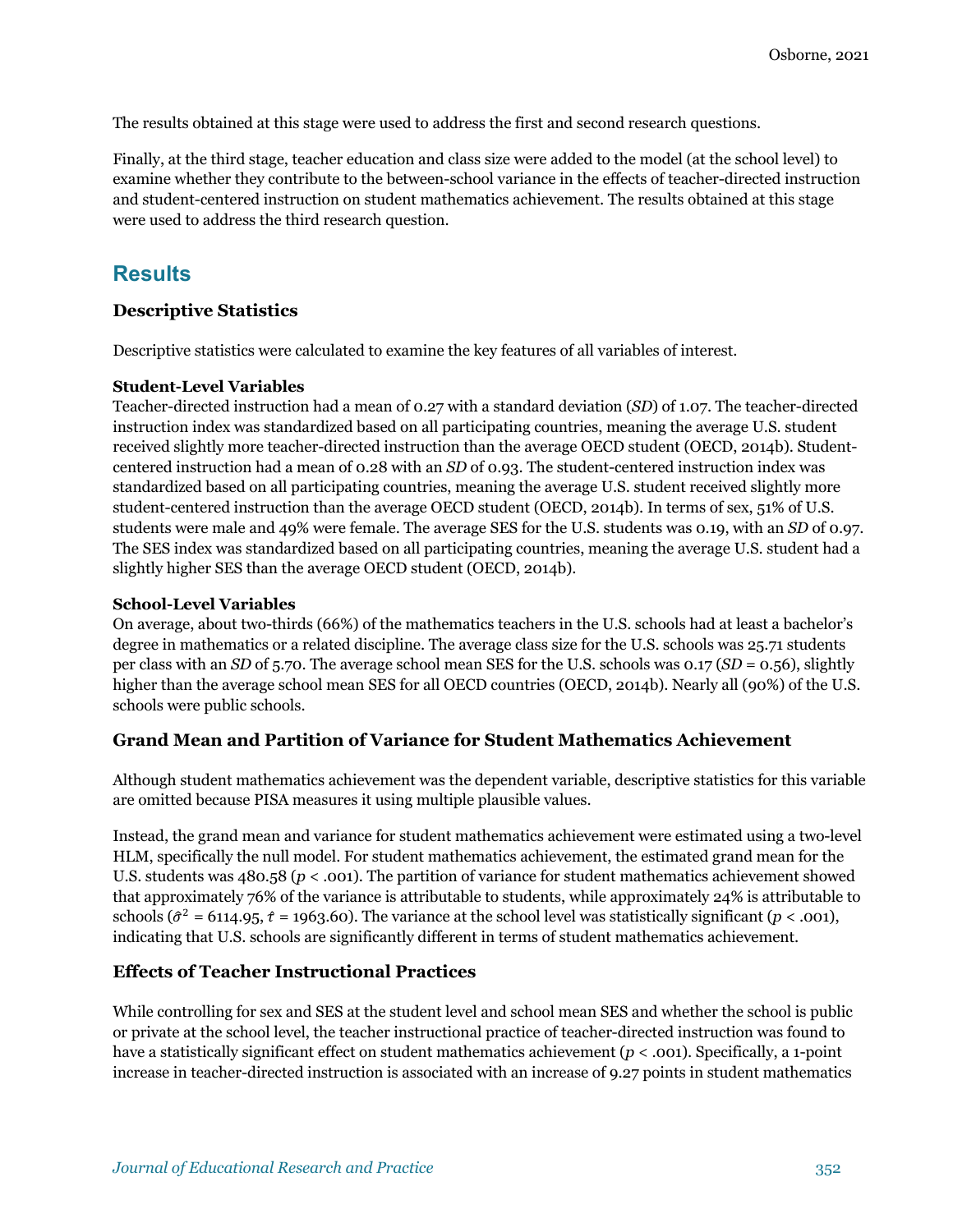The results obtained at this stage were used to address the first and second research questions.

Finally, at the third stage, teacher education and class size were added to the model (at the school level) to examine whether they contribute to the between-school variance in the effects of teacher-directed instruction and student-centered instruction on student mathematics achievement. The results obtained at this stage were used to address the third research question.

# **Results**

#### **Descriptive Statistics**

Descriptive statistics were calculated to examine the key features of all variables of interest.

#### **Student-Level Variables**

Teacher-directed instruction had a mean of 0.27 with a standard deviation (*SD*) of 1.07. The teacher-directed instruction index was standardized based on all participating countries, meaning the average U.S. student received slightly more teacher-directed instruction than the average OECD student (OECD, 2014b). Studentcentered instruction had a mean of 0.28 with an *SD* of 0.93. The student-centered instruction index was standardized based on all participating countries, meaning the average U.S. student received slightly more student-centered instruction than the average OECD student (OECD, 2014b). In terms of sex, 51% of U.S. students were male and 49% were female. The average SES for the U.S. students was 0.19, with an *SD* of 0.97. The SES index was standardized based on all participating countries, meaning the average U.S. student had a slightly higher SES than the average OECD student (OECD, 2014b).

#### **School-Level Variables**

On average, about two-thirds (66%) of the mathematics teachers in the U.S. schools had at least a bachelor's degree in mathematics or a related discipline. The average class size for the U.S. schools was 25.71 students per class with an *SD* of 5.70. The average school mean SES for the U.S. schools was 0.17 (*SD* = 0.56), slightly higher than the average school mean SES for all OECD countries (OECD, 2014b). Nearly all (90%) of the U.S. schools were public schools.

#### **Grand Mean and Partition of Variance for Student Mathematics Achievement**

Although student mathematics achievement was the dependent variable, descriptive statistics for this variable are omitted because PISA measures it using multiple plausible values.

Instead, the grand mean and variance for student mathematics achievement were estimated using a two-level HLM, specifically the null model. For student mathematics achievement, the estimated grand mean for the U.S. students was 480.58 (*p* < .001). The partition of variance for student mathematics achievement showed that approximately 76% of the variance is attributable to students, while approximately 24% is attributable to schools ( $\hat{\sigma}^2$  = 6114.95,  $\hat{\tau}$  = 1963.60). The variance at the school level was statistically significant (*p* < .001), indicating that U.S. schools are significantly different in terms of student mathematics achievement.

#### **Effects of Teacher Instructional Practices**

While controlling for sex and SES at the student level and school mean SES and whether the school is public or private at the school level, the teacher instructional practice of teacher-directed instruction was found to have a statistically significant effect on student mathematics achievement (*p* < .001). Specifically, a 1-point increase in teacher-directed instruction is associated with an increase of 9.27 points in student mathematics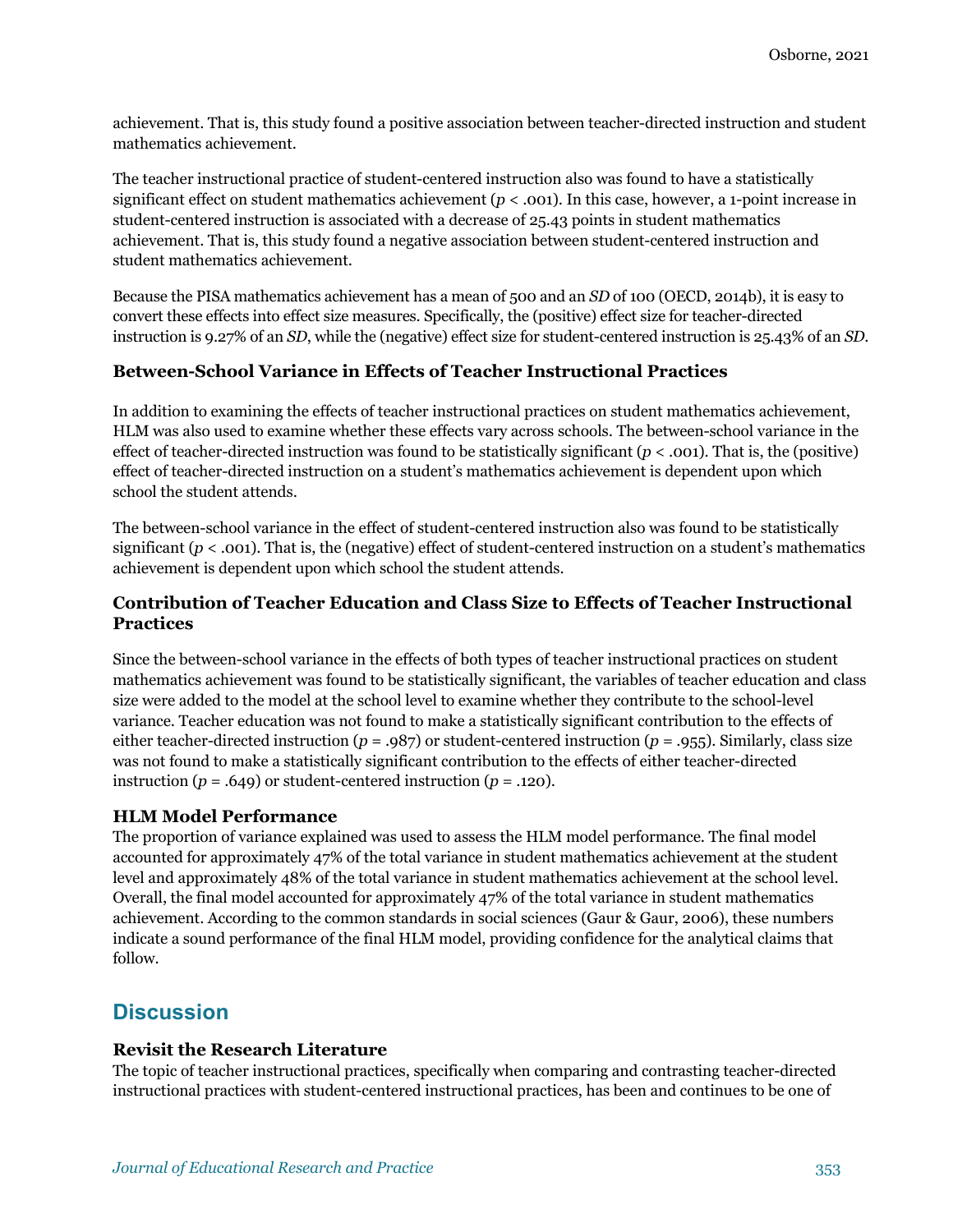achievement. That is, this study found a positive association between teacher-directed instruction and student mathematics achievement.

The teacher instructional practice of student-centered instruction also was found to have a statistically significant effect on student mathematics achievement  $(p < .001)$ . In this case, however, a 1-point increase in student-centered instruction is associated with a decrease of 25.43 points in student mathematics achievement. That is, this study found a negative association between student-centered instruction and student mathematics achievement.

Because the PISA mathematics achievement has a mean of 500 and an *SD* of 100 (OECD, 2014b), it is easy to convert these effects into effect size measures. Specifically, the (positive) effect size for teacher-directed instruction is 9.27% of an *SD*, while the (negative) effect size for student-centered instruction is 25.43% of an *SD*.

#### **Between-School Variance in Effects of Teacher Instructional Practices**

In addition to examining the effects of teacher instructional practices on student mathematics achievement, HLM was also used to examine whether these effects vary across schools. The between-school variance in the effect of teacher-directed instruction was found to be statistically significant  $(p < .001)$ . That is, the (positive) effect of teacher-directed instruction on a student's mathematics achievement is dependent upon which school the student attends.

The between-school variance in the effect of student-centered instruction also was found to be statistically significant  $(p < .001)$ . That is, the (negative) effect of student-centered instruction on a student's mathematics achievement is dependent upon which school the student attends.

### **Contribution of Teacher Education and Class Size to Effects of Teacher Instructional Practices**

Since the between-school variance in the effects of both types of teacher instructional practices on student mathematics achievement was found to be statistically significant, the variables of teacher education and class size were added to the model at the school level to examine whether they contribute to the school-level variance. Teacher education was not found to make a statistically significant contribution to the effects of either teacher-directed instruction (*p* = .987) or student-centered instruction (*p* = .955). Similarly, class size was not found to make a statistically significant contribution to the effects of either teacher-directed instruction  $(p = .649)$  or student-centered instruction  $(p = .120)$ .

#### **HLM Model Performance**

The proportion of variance explained was used to assess the HLM model performance. The final model accounted for approximately 47% of the total variance in student mathematics achievement at the student level and approximately 48% of the total variance in student mathematics achievement at the school level. Overall, the final model accounted for approximately 47% of the total variance in student mathematics achievement. According to the common standards in social sciences (Gaur & Gaur, 2006), these numbers indicate a sound performance of the final HLM model, providing confidence for the analytical claims that follow.

# **Discussion**

#### **Revisit the Research Literature**

The topic of teacher instructional practices, specifically when comparing and contrasting teacher-directed instructional practices with student-centered instructional practices, has been and continues to be one of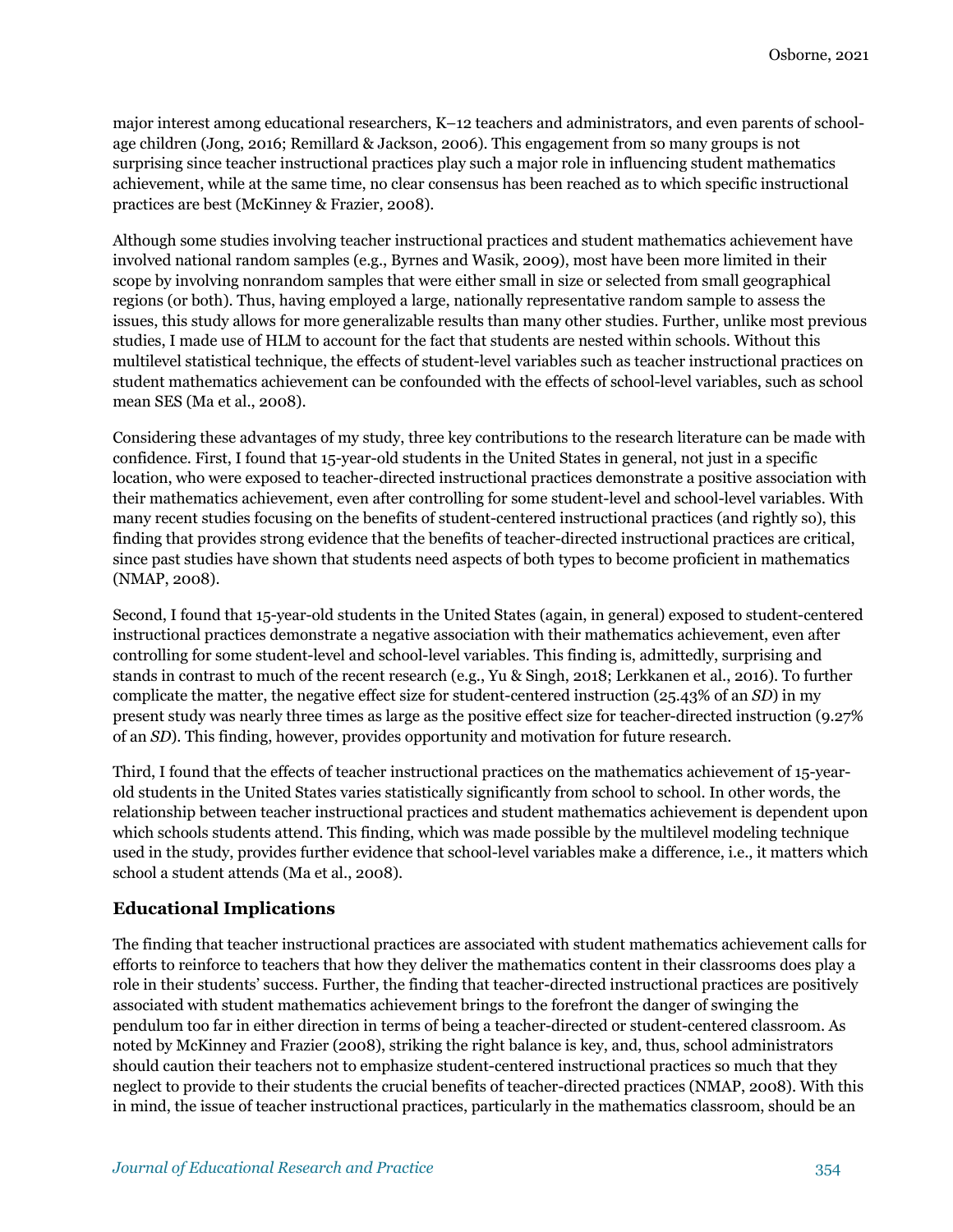major interest among educational researchers, K–12 teachers and administrators, and even parents of schoolage children (Jong, 2016; Remillard & Jackson, 2006). This engagement from so many groups is not surprising since teacher instructional practices play such a major role in influencing student mathematics achievement, while at the same time, no clear consensus has been reached as to which specific instructional practices are best (McKinney & Frazier, 2008).

Although some studies involving teacher instructional practices and student mathematics achievement have involved national random samples (e.g., Byrnes and Wasik, 2009), most have been more limited in their scope by involving nonrandom samples that were either small in size or selected from small geographical regions (or both). Thus, having employed a large, nationally representative random sample to assess the issues, this study allows for more generalizable results than many other studies. Further, unlike most previous studies, I made use of HLM to account for the fact that students are nested within schools. Without this multilevel statistical technique, the effects of student-level variables such as teacher instructional practices on student mathematics achievement can be confounded with the effects of school-level variables, such as school mean SES (Ma et al., 2008).

Considering these advantages of my study, three key contributions to the research literature can be made with confidence. First, I found that 15-year-old students in the United States in general, not just in a specific location, who were exposed to teacher-directed instructional practices demonstrate a positive association with their mathematics achievement, even after controlling for some student-level and school-level variables. With many recent studies focusing on the benefits of student-centered instructional practices (and rightly so), this finding that provides strong evidence that the benefits of teacher-directed instructional practices are critical, since past studies have shown that students need aspects of both types to become proficient in mathematics (NMAP, 2008).

Second, I found that 15-year-old students in the United States (again, in general) exposed to student-centered instructional practices demonstrate a negative association with their mathematics achievement, even after controlling for some student-level and school-level variables. This finding is, admittedly, surprising and stands in contrast to much of the recent research (e.g., Yu & Singh, 2018; Lerkkanen et al., 2016). To further complicate the matter, the negative effect size for student-centered instruction (25.43% of an *SD*) in my present study was nearly three times as large as the positive effect size for teacher-directed instruction (9.27% of an *SD*). This finding, however, provides opportunity and motivation for future research.

Third, I found that the effects of teacher instructional practices on the mathematics achievement of 15-yearold students in the United States varies statistically significantly from school to school. In other words, the relationship between teacher instructional practices and student mathematics achievement is dependent upon which schools students attend. This finding, which was made possible by the multilevel modeling technique used in the study, provides further evidence that school-level variables make a difference, i.e., it matters which school a student attends (Ma et al., 2008).

#### **Educational Implications**

The finding that teacher instructional practices are associated with student mathematics achievement calls for efforts to reinforce to teachers that how they deliver the mathematics content in their classrooms does play a role in their students' success. Further, the finding that teacher-directed instructional practices are positively associated with student mathematics achievement brings to the forefront the danger of swinging the pendulum too far in either direction in terms of being a teacher-directed or student-centered classroom. As noted by McKinney and Frazier (2008), striking the right balance is key, and, thus, school administrators should caution their teachers not to emphasize student-centered instructional practices so much that they neglect to provide to their students the crucial benefits of teacher-directed practices (NMAP, 2008). With this in mind, the issue of teacher instructional practices, particularly in the mathematics classroom, should be an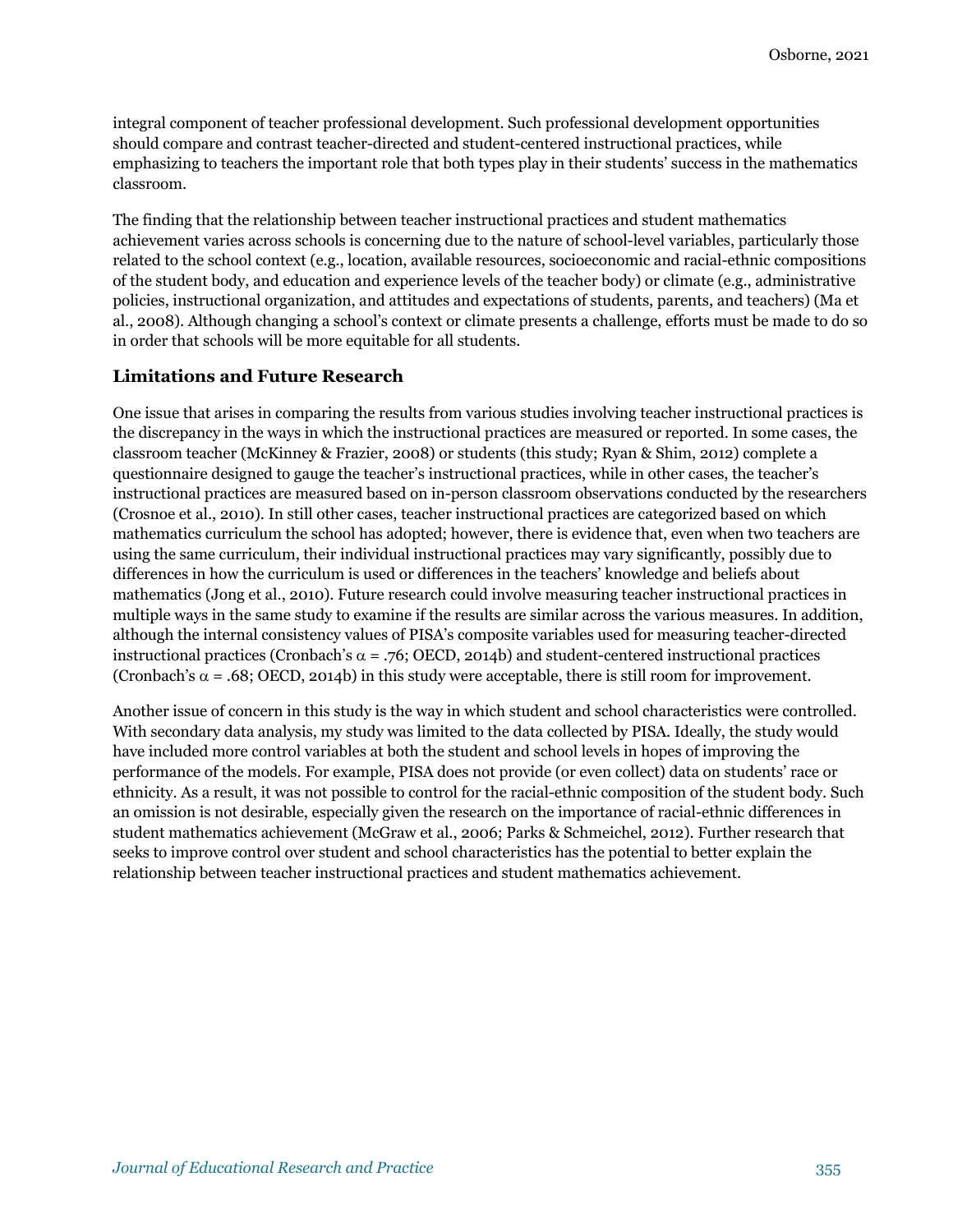integral component of teacher professional development. Such professional development opportunities should compare and contrast teacher-directed and student-centered instructional practices, while emphasizing to teachers the important role that both types play in their students' success in the mathematics classroom.

The finding that the relationship between teacher instructional practices and student mathematics achievement varies across schools is concerning due to the nature of school-level variables, particularly those related to the school context (e.g., location, available resources, socioeconomic and racial-ethnic compositions of the student body, and education and experience levels of the teacher body) or climate (e.g., administrative policies, instructional organization, and attitudes and expectations of students, parents, and teachers) (Ma et al., 2008). Although changing a school's context or climate presents a challenge, efforts must be made to do so in order that schools will be more equitable for all students.

### **Limitations and Future Research**

One issue that arises in comparing the results from various studies involving teacher instructional practices is the discrepancy in the ways in which the instructional practices are measured or reported. In some cases, the classroom teacher (McKinney & Frazier, 2008) or students (this study; Ryan & Shim, 2012) complete a questionnaire designed to gauge the teacher's instructional practices, while in other cases, the teacher's instructional practices are measured based on in-person classroom observations conducted by the researchers (Crosnoe et al., 2010). In still other cases, teacher instructional practices are categorized based on which mathematics curriculum the school has adopted; however, there is evidence that, even when two teachers are using the same curriculum, their individual instructional practices may vary significantly, possibly due to differences in how the curriculum is used or differences in the teachers' knowledge and beliefs about mathematics (Jong et al., 2010). Future research could involve measuring teacher instructional practices in multiple ways in the same study to examine if the results are similar across the various measures. In addition, although the internal consistency values of PISA's composite variables used for measuring teacher-directed instructional practices (Cronbach's  $\alpha$  = .76; OECD, 2014b) and student-centered instructional practices (Cronbach's  $\alpha$  = .68; OECD, 2014b) in this study were acceptable, there is still room for improvement.

Another issue of concern in this study is the way in which student and school characteristics were controlled. With secondary data analysis, my study was limited to the data collected by PISA. Ideally, the study would have included more control variables at both the student and school levels in hopes of improving the performance of the models. For example, PISA does not provide (or even collect) data on students' race or ethnicity. As a result, it was not possible to control for the racial-ethnic composition of the student body. Such an omission is not desirable, especially given the research on the importance of racial-ethnic differences in student mathematics achievement (McGraw et al., 2006; Parks & Schmeichel, 2012). Further research that seeks to improve control over student and school characteristics has the potential to better explain the relationship between teacher instructional practices and student mathematics achievement.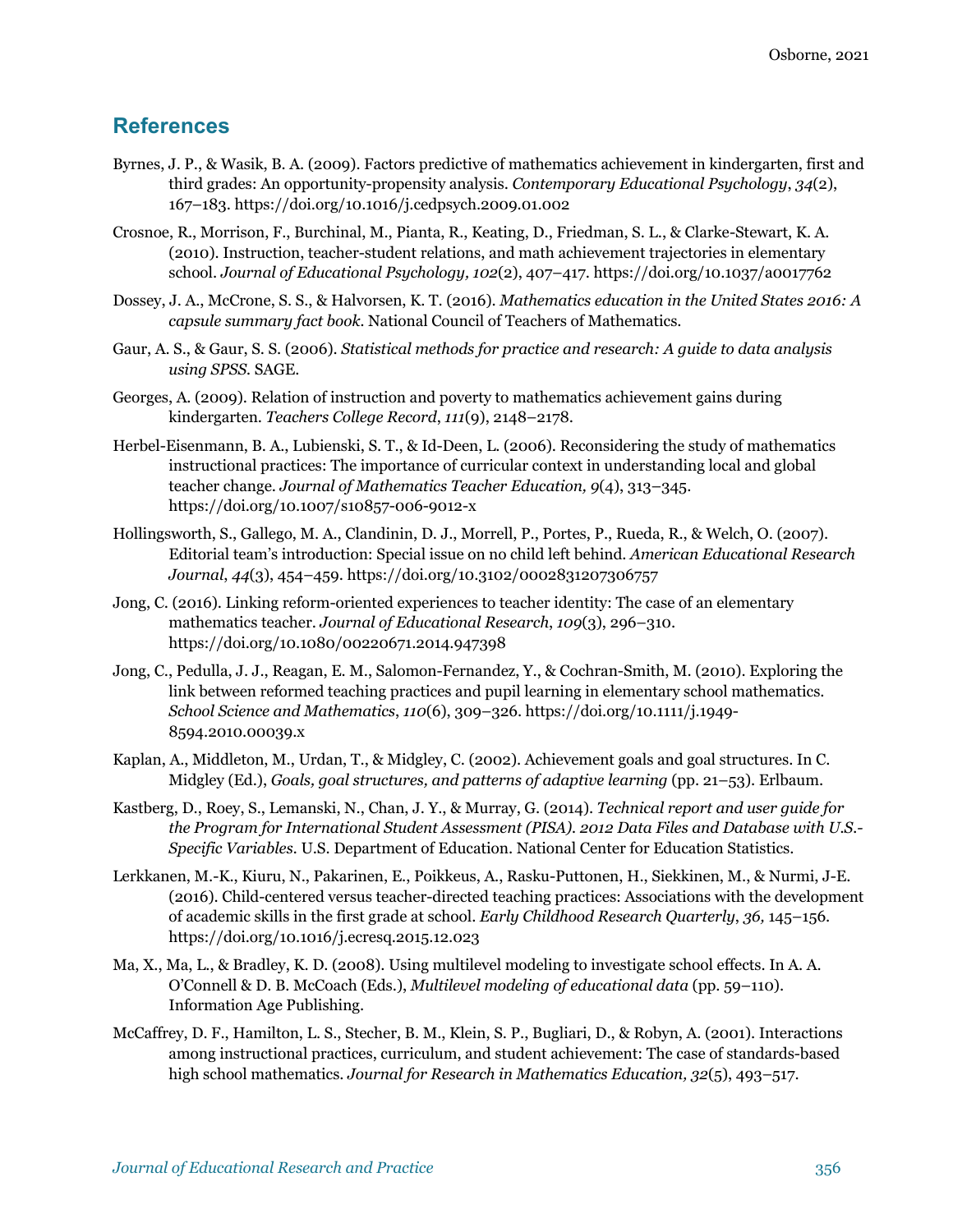## **References**

- Byrnes, J. P., & Wasik, B. A. (2009). Factors predictive of mathematics achievement in kindergarten, first and third grades: An opportunity-propensity analysis. *Contemporary Educational Psychology*, *34*(2), 167–183. https://doi.org/10.1016/j.cedpsych.2009.01.002
- Crosnoe, R., Morrison, F., Burchinal, M., Pianta, R., Keating, D., Friedman, S. L., & Clarke-Stewart, K. A. (2010). Instruction, teacher-student relations, and math achievement trajectories in elementary school. *Journal of Educational Psychology, 102*(2), 407–417. https://doi.org/10.1037/a0017762
- Dossey, J. A., McCrone, S. S., & Halvorsen, K. T. (2016). *Mathematics education in the United States 2016: A capsule summary fact book.* National Council of Teachers of Mathematics.
- Gaur, A. S., & Gaur, S. S. (2006). *Statistical methods for practice and research: A guide to data analysis using SPSS.* SAGE.
- Georges, A. (2009). Relation of instruction and poverty to mathematics achievement gains during kindergarten. *Teachers College Record*, *111*(9), 2148–2178.
- Herbel-Eisenmann, B. A., Lubienski, S. T., & Id-Deen, L. (2006). Reconsidering the study of mathematics instructional practices: The importance of curricular context in understanding local and global teacher change. *Journal of Mathematics Teacher Education, 9*(4), 313–345. https://doi.org/10.1007/s10857-006-9012-x
- Hollingsworth, S., Gallego, M. A., Clandinin, D. J., Morrell, P., Portes, P., Rueda, R., & Welch, O. (2007). Editorial team's introduction: Special issue on no child left behind. *American Educational Research Journal*, *44*(3), 454–459. https://doi.org/10.3102/0002831207306757
- Jong, C. (2016). Linking reform-oriented experiences to teacher identity: The case of an elementary mathematics teacher. *Journal of Educational Research*, *109*(3), 296–310. https://doi.org/10.1080/00220671.2014.947398
- Jong, C., Pedulla, J. J., Reagan, E. M., Salomon-Fernandez, Y., & Cochran-Smith, M. (2010). Exploring the link between reformed teaching practices and pupil learning in elementary school mathematics. *School Science and Mathematics*, *110*(6), 309–326. https://doi.org/10.1111/j.1949- 8594.2010.00039.x
- Kaplan, A., Middleton, M., Urdan, T., & Midgley, C. (2002). Achievement goals and goal structures. In C. Midgley (Ed.), *Goals, goal structures, and patterns of adaptive learning* (pp. 21–53). Erlbaum.
- Kastberg, D., Roey, S., Lemanski, N., Chan, J. Y., & Murray, G. (2014). *Technical report and user guide for the Program for International Student Assessment (PISA). 2012 Data Files and Database with U.S.- Specific Variables.* U.S. Department of Education. National Center for Education Statistics.
- Lerkkanen, M.-K., Kiuru, N., Pakarinen, E., Poikkeus, A., Rasku-Puttonen, H., Siekkinen, M., & Nurmi, J-E. (2016). Child-centered versus teacher-directed teaching practices: Associations with the development of academic skills in the first grade at school. *Early Childhood Research Quarterly*, *36,* 145–156. https://doi.org/10.1016/j.ecresq.2015.12.023
- Ma, X., Ma, L., & Bradley, K. D. (2008). Using multilevel modeling to investigate school effects. In A. A. O'Connell & D. B. McCoach (Eds.), *Multilevel modeling of educational data* (pp. 59–110). Information Age Publishing.
- McCaffrey, D. F., Hamilton, L. S., Stecher, B. M., Klein, S. P., Bugliari, D., & Robyn, A. (2001). Interactions among instructional practices, curriculum, and student achievement: The case of standards-based high school mathematics. *Journal for Research in Mathematics Education, 32*(5), 493–517.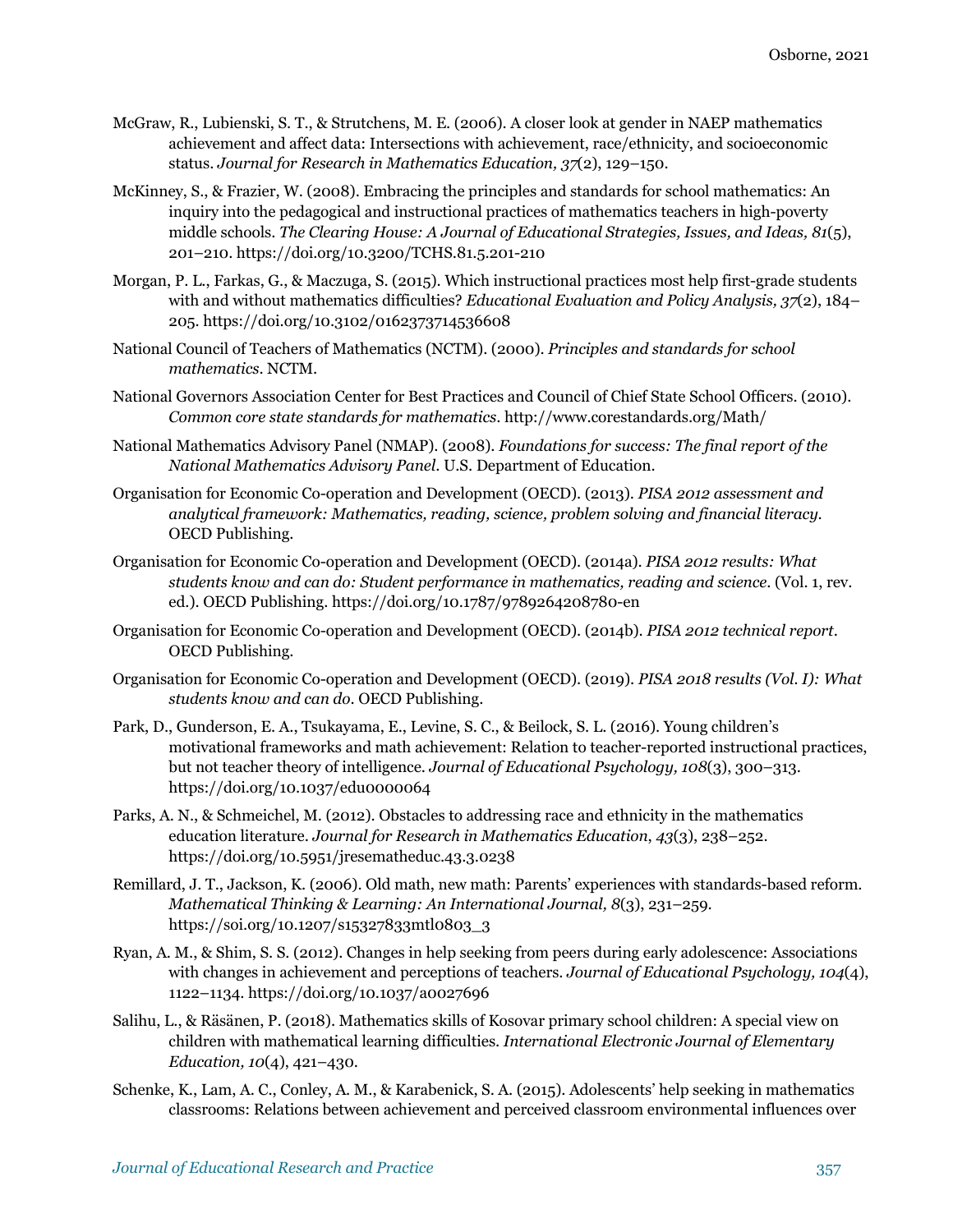- McGraw, R., Lubienski, S. T., & Strutchens, M. E. (2006). A closer look at gender in NAEP mathematics achievement and affect data: Intersections with achievement, race/ethnicity, and socioeconomic status. *Journal for Research in Mathematics Education, 37*(2), 129–150.
- McKinney, S., & Frazier, W. (2008). Embracing the principles and standards for school mathematics: An inquiry into the pedagogical and instructional practices of mathematics teachers in high-poverty middle schools. *The Clearing House: A Journal of Educational Strategies, Issues, and Ideas, 81*(5), 201–210. https://doi.org/10.3200/TCHS.81.5.201-210
- Morgan, P. L., Farkas, G., & Maczuga, S. (2015). Which instructional practices most help first-grade students with and without mathematics difficulties? *Educational Evaluation and Policy Analysis, 37*(2), 184– 205. https://doi.org/10.3102/0162373714536608
- National Council of Teachers of Mathematics (NCTM). (2000). *Principles and standards for school mathematics*. NCTM.
- National Governors Association Center for Best Practices and Council of Chief State School Officers. (2010). *Common core state standards for mathematics*. http://www.corestandards.org/Math/
- National Mathematics Advisory Panel (NMAP). (2008). *Foundations for success: The final report of the National Mathematics Advisory Panel*. U.S. Department of Education.
- Organisation for Economic Co-operation and Development (OECD). (2013). *PISA 2012 assessment and analytical framework: Mathematics, reading, science, problem solving and financial literacy*. OECD Publishing.
- Organisation for Economic Co-operation and Development (OECD). (2014a). *PISA 2012 results: What students know and can do: Student performance in mathematics, reading and science*. (Vol. 1, rev. ed.). OECD Publishing. https://doi.org/10.1787/9789264208780-en
- Organisation for Economic Co-operation and Development (OECD). (2014b). *PISA 2012 technical report*. OECD Publishing.
- Organisation for Economic Co-operation and Development (OECD). (2019). *PISA 2018 results (Vol. I): What students know and can do*. OECD Publishing.
- Park, D., Gunderson, E. A., Tsukayama, E., Levine, S. C., & Beilock, S. L. (2016). Young children's motivational frameworks and math achievement: Relation to teacher-reported instructional practices, but not teacher theory of intelligence. *Journal of Educational Psychology, 108*(3), 300–313. https://doi.org/10.1037/edu0000064
- Parks, A. N., & Schmeichel, M. (2012). Obstacles to addressing race and ethnicity in the mathematics education literature. *Journal for Research in Mathematics Education*, *43*(3), 238–252. https://doi.org/10.5951/jresematheduc.43.3.0238
- Remillard, J. T., Jackson, K. (2006). Old math, new math: Parents' experiences with standards-based reform. *Mathematical Thinking & Learning: An International Journal, 8*(3), 231–259. https://soi.org/10.1207/s15327833mtl0803\_3
- Ryan, A. M., & Shim, S. S. (2012). Changes in help seeking from peers during early adolescence: Associations with changes in achievement and perceptions of teachers. *Journal of Educational Psychology, 104*(4), 1122–1134. https://doi.org/10.1037/a0027696
- Salihu, L., & Räsänen, P. (2018). Mathematics skills of Kosovar primary school children: A special view on children with mathematical learning difficulties. *International Electronic Journal of Elementary Education, 10*(4), 421–430.
- Schenke, K., Lam, A. C., Conley, A. M., & Karabenick, S. A. (2015). Adolescents' help seeking in mathematics classrooms: Relations between achievement and perceived classroom environmental influences over